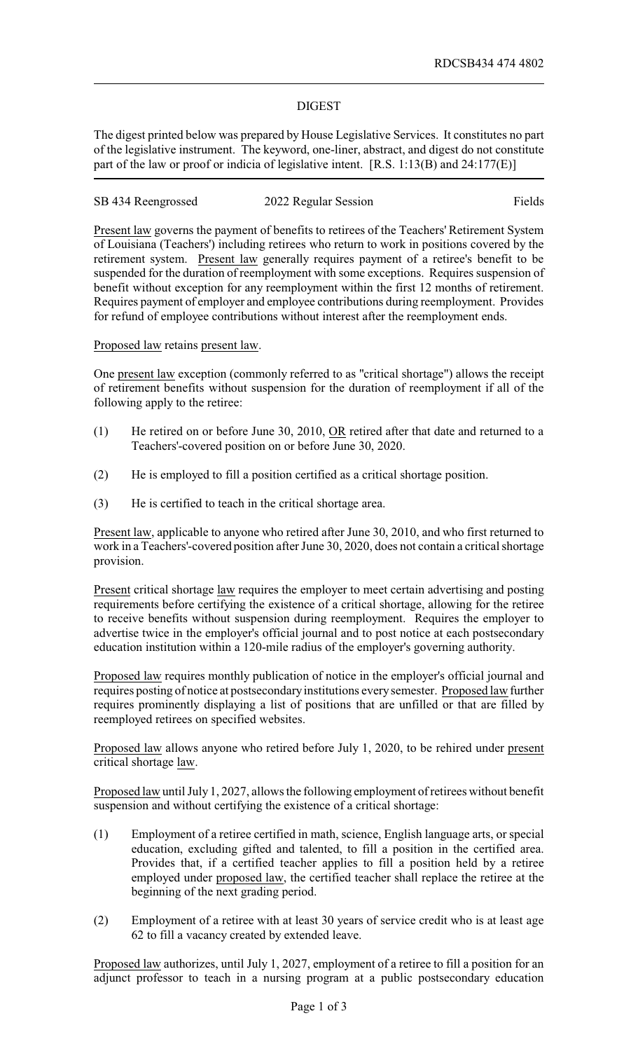## DIGEST

The digest printed below was prepared by House Legislative Services. It constitutes no part of the legislative instrument. The keyword, one-liner, abstract, and digest do not constitute part of the law or proof or indicia of legislative intent. [R.S. 1:13(B) and 24:177(E)]

# SB 434 Reengrossed 2022 Regular Session Fields

Present law governs the payment of benefits to retirees of the Teachers' Retirement System of Louisiana (Teachers') including retirees who return to work in positions covered by the retirement system. Present law generally requires payment of a retiree's benefit to be suspended for the duration of reemployment with some exceptions. Requires suspension of benefit without exception for any reemployment within the first 12 months of retirement. Requires payment of employer and employee contributions during reemployment. Provides for refund of employee contributions without interest after the reemployment ends.

Proposed law retains present law.

One present law exception (commonly referred to as "critical shortage") allows the receipt of retirement benefits without suspension for the duration of reemployment if all of the following apply to the retiree:

- (1) He retired on or before June 30, 2010, OR retired after that date and returned to a Teachers'-covered position on or before June 30, 2020.
- (2) He is employed to fill a position certified as a critical shortage position.
- (3) He is certified to teach in the critical shortage area.

Present law, applicable to anyone who retired after June 30, 2010, and who first returned to work in a Teachers'-covered position after June 30, 2020, does not contain a critical shortage provision.

Present critical shortage law requires the employer to meet certain advertising and posting requirements before certifying the existence of a critical shortage, allowing for the retiree to receive benefits without suspension during reemployment. Requires the employer to advertise twice in the employer's official journal and to post notice at each postsecondary education institution within a 120-mile radius of the employer's governing authority.

Proposed law requires monthly publication of notice in the employer's official journal and requires posting of notice at postsecondaryinstitutions everysemester. Proposed law further requires prominently displaying a list of positions that are unfilled or that are filled by reemployed retirees on specified websites.

Proposed law allows anyone who retired before July 1, 2020, to be rehired under present critical shortage law.

Proposed law until July 1, 2027, allows the following employment of retirees without benefit suspension and without certifying the existence of a critical shortage:

- (1) Employment of a retiree certified in math, science, English language arts, or special education, excluding gifted and talented, to fill a position in the certified area. Provides that, if a certified teacher applies to fill a position held by a retiree employed under proposed law, the certified teacher shall replace the retiree at the beginning of the next grading period.
- (2) Employment of a retiree with at least 30 years of service credit who is at least age 62 to fill a vacancy created by extended leave.

Proposed law authorizes, until July 1, 2027, employment of a retiree to fill a position for an adjunct professor to teach in a nursing program at a public postsecondary education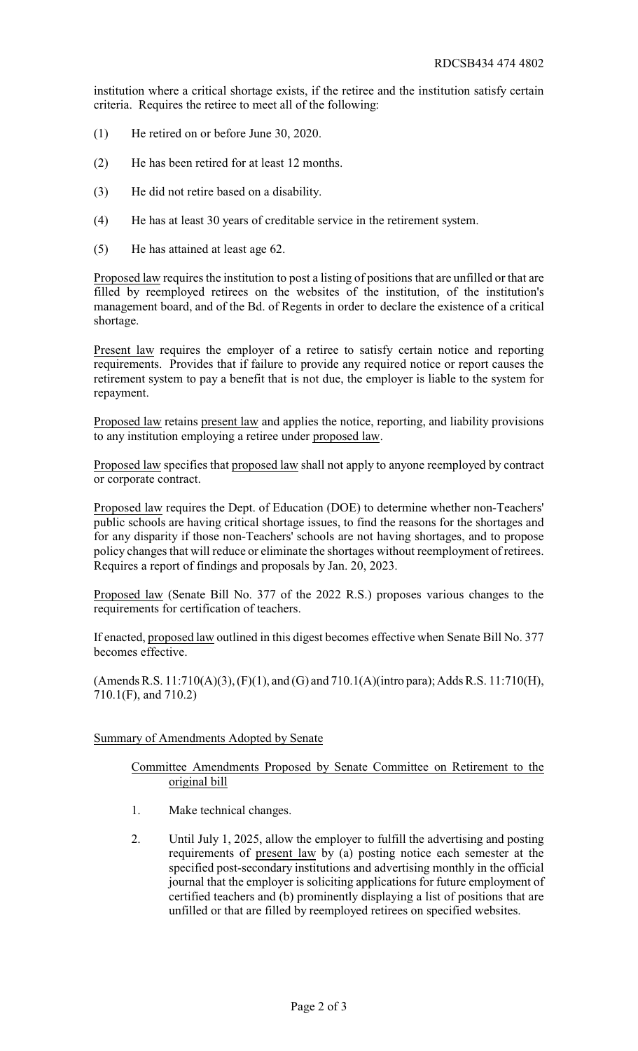institution where a critical shortage exists, if the retiree and the institution satisfy certain criteria. Requires the retiree to meet all of the following:

- (1) He retired on or before June 30, 2020.
- (2) He has been retired for at least 12 months.
- (3) He did not retire based on a disability.
- (4) He has at least 30 years of creditable service in the retirement system.
- (5) He has attained at least age 62.

Proposed law requires the institution to post a listing of positions that are unfilled or that are filled by reemployed retirees on the websites of the institution, of the institution's management board, and of the Bd. of Regents in order to declare the existence of a critical shortage.

Present law requires the employer of a retiree to satisfy certain notice and reporting requirements. Provides that if failure to provide any required notice or report causes the retirement system to pay a benefit that is not due, the employer is liable to the system for repayment.

Proposed law retains present law and applies the notice, reporting, and liability provisions to any institution employing a retiree under proposed law.

Proposed law specifies that proposed law shall not apply to anyone reemployed by contract or corporate contract.

Proposed law requires the Dept. of Education (DOE) to determine whether non-Teachers' public schools are having critical shortage issues, to find the reasons for the shortages and for any disparity if those non-Teachers' schools are not having shortages, and to propose policy changes that will reduce or eliminate the shortages without reemployment of retirees. Requires a report of findings and proposals by Jan. 20, 2023.

Proposed law (Senate Bill No. 377 of the 2022 R.S.) proposes various changes to the requirements for certification of teachers.

If enacted, proposed law outlined in this digest becomes effective when Senate Bill No. 377 becomes effective.

(Amends R.S. 11:710(A)(3), (F)(1), and (G) and 710.1(A)(intro para); Adds R.S. 11:710(H), 710.1(F), and 710.2)

#### Summary of Amendments Adopted by Senate

## Committee Amendments Proposed by Senate Committee on Retirement to the original bill

- 1. Make technical changes.
- 2. Until July 1, 2025, allow the employer to fulfill the advertising and posting requirements of present law by (a) posting notice each semester at the specified post-secondary institutions and advertising monthly in the official journal that the employer is soliciting applications for future employment of certified teachers and (b) prominently displaying a list of positions that are unfilled or that are filled by reemployed retirees on specified websites.